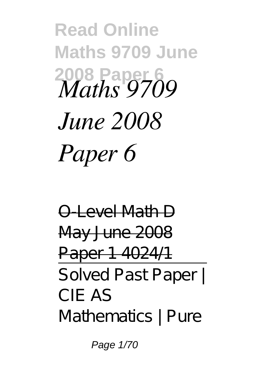**Read Online Maths 9709 June 2008 Paper 6** *Maths 9709 June 2008 Paper 6*

O-Level Math D May June 2008 Paper 1 4024/1 Solved Past Paper | CIE AS Mathematics | Pure

Page 1/70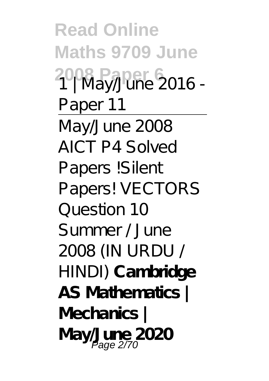**Read Online Maths 9709 June 2008 Paper 6** 1 | May/June 2016 - Paper 11 May/June 2008 AICT P4 Solved Papers !Silent Papers! VECTORS Question 10 Summer / June 2008 (IN URDU / HINDI) **Cambridge AS Mathematics | Mechanics | May/June 2020** Page 2/70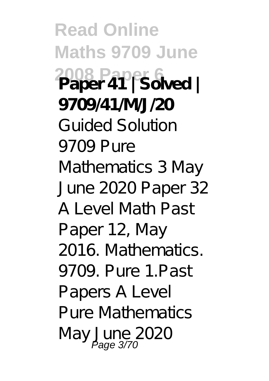**Read Online Maths 9709 June 2008 Paper 6 Paper 41 | Solved | 9709/41/M/J/20** Guided Solution 9709 Pure Mathematics 3 May June 2020 Paper 32 A Level Math Past Paper 12, May 2016. Mathematics. 9709. Pure 1. Past Papers A Level Pure Mathematics May June 2020<br>Page 3/70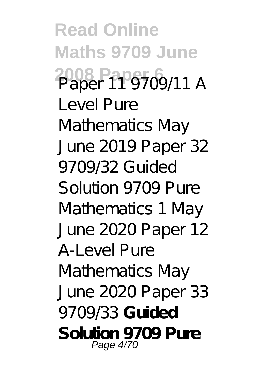**Read Online Maths 9709 June 2008 Paper 6** Paper 11 9709/11 *<sup>A</sup> Level Pure Mathematics May June 2019 Paper 32 9709/32* Guided Solution 9709 Pure Mathematics 1 May June 2020 Paper 12 A-Level Pure Mathematics May June 2020 Paper 33 9709/33 **Guided Solution 9709 Pure** Page 4/70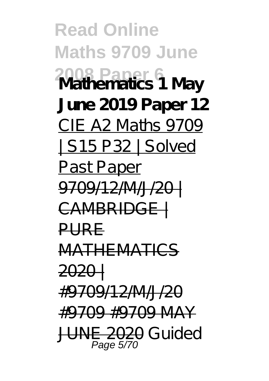**Read Online Maths 9709 June 2008 Paper 6 Mathematics 1 May June 2019 Paper 12** CIE A2 Maths 9709 | S15 P32 | Solved **Past Paper** 9709/12/M/J/20 | CAMBRIDGE | PURE MATHEMATICS 2020 | #9709/12/M/J/20 #9709 #9709 MAY JUNE 2020 Guided Page 5/70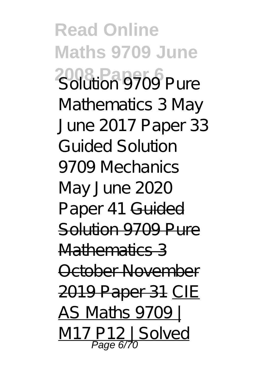**Read Online Maths 9709 June 2008 Paper 6** Solution 9709 Pure Mathematics 3 May June 2017 Paper 33 *Guided Solution 9709 Mechanics May June 2020 Paper 41* Guided Solution 9709 Pure Mathematics 3 October November 2019 Paper 31 CIE AS Maths 9709 | P12 | Solved Page 6/70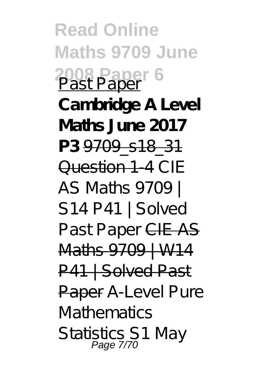**Read Online Maths 9709 June 2008 Paper 6** Past Paper **Cambridge A Level Maths June 2017 P3** 9709\_s18\_31 Question 1-4 CIE AS Maths 9709 | S14 P41 | Solved Past Paper CIE AS Maths 9709 | W14 P41 | Solved Past Paper *A-Level Pure Mathematics Statistics S1 May* Page 7/70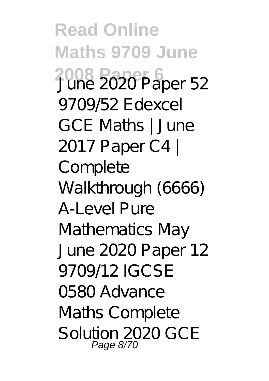**Read Online Maths 9709 June 2008 Paper 6** *June 2020 Paper 52 9709/52 Edexcel GCE Maths | June 2017 Paper C4 | Complete Walkthrough (6666)* A-Level Pure Mathematics May June 2020 Paper 12 9709/12 *IGCSE 0580 Advance Maths Complete Solution 2020 GCE* Page 8/70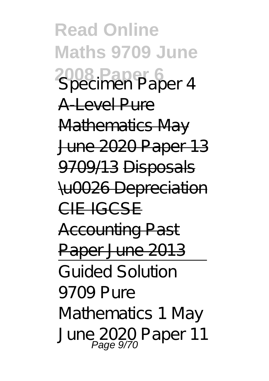**Read Online Maths 9709 June 2008 Paper 6** *Specimen Paper 4* A-Level Pure Mathematics May June 2020 Paper 13 9709/13 Disposals \u0026 Depreciation CIE IGCSE Accounting Past Paper June 2013 Guided Solution 9709 Pure Mathematics 1 May June 2020 Paper 11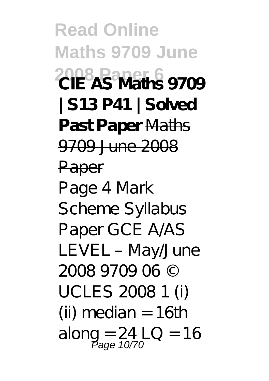**Read Online Maths 9709 June 2008 Paper 6 CIE AS Maths 9709 | S13 P41 | Solved Past Paper** Maths 9709 June 2008 Paper Page 4 Mark Scheme Syllabus Paper GCE A/AS LEVEL – May/June 2008 9709 06 © UCLES 2008 1 (i) (ii) median  $= 16$ th along =  $24$  LO = 16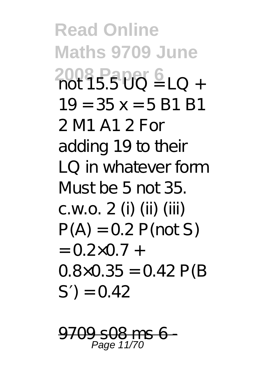**Read Online Maths 9709 June 2008 Paper 6** 10 +  $19 = 35x = 5 R1 R1$ 2 M1 A1 2 For adding 19 to their LQ in whatever form Must be 5 not 35. c.w.o. 2 (i) (ii) (iii)  $P(A) = 0.2 P($ not S)  $= 0.2 \times 0.7 +$  $0.8 \times 0.35 = 0.42$  P(B)  $S$ ) = 0.42

08 G Page 11/70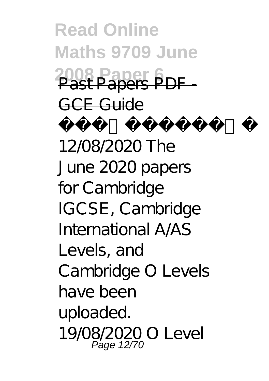**Read Online Maths 9709 June 2008 Paper 6** Past Papers PDF - GCE Guide Update: 12/08/2020 The June 2020 papers for Cambridge IGCSE, Cambridge International A AS Levels, and Cambridge O Levels have been uploaded. 19/08/2020 O Level Page 12/70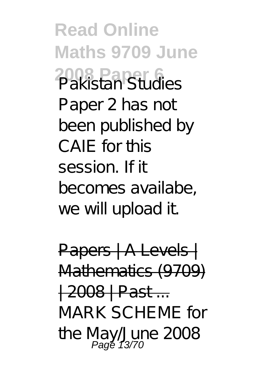**Read Online Maths 9709 June 2008 Paper 6** Pakistan Studies Paper 2 has not been published by CAIF for this session. If it becomes availabe, we will upload it.

Papers | A Levels | Mathematics (9709) | 2008 | Past ... MARK SCHEME for the May/June 2008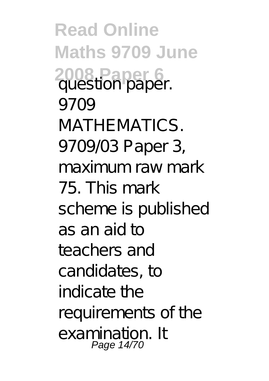**Read Online Maths 9709 June 2008 Paper 6** question paper. 9709 MATHEMATICS. 9709/03 Paper 3, maximum raw mark 75. This mark scheme is published as an aid to teachers and candidates, to indicate the requirements of the examination. It Page 14/70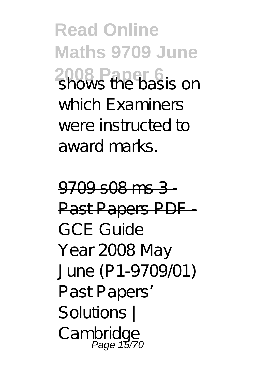**Read Online Maths 9709 June 2008 Paper 6**<br>Shows the basis on which Examiners were instructed to award marks.

9709 s08 ms 3 - Past Papers PDF GCE Guide Year 2008 May June (P1-9709/01) Past Papers' Solutions | Cambridge Page 15/70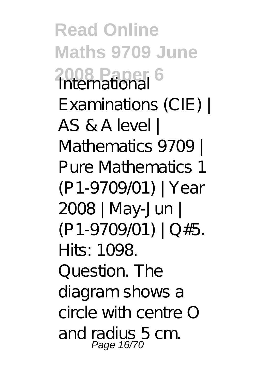**Read Online Maths 9709 June 2008 Paper 6** International Examinations (CIE) | AS & A level | Mathematics 9709 | Pure Mathematics 1 (P1-9709/01) | Year 2008 | May-Jun | (P1-9709/01) | Q#5. Hits: 1098. Question. The diagram shows a circle with centre O and radius 5 cm. Page 16/70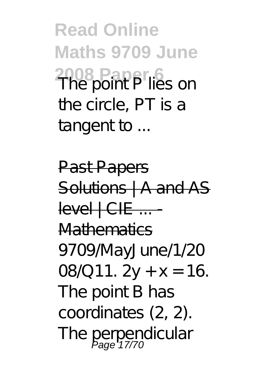**Read Online Maths 9709 June 2008 Paper 6** The point P lies on the circle, PT is a tangent to ...

**Past Papers** Solutions | A and AS  $level + CFE$  ... Mathematics 9709/MayJune/1/20 08/011.  $2y + x = 16$ . The point B has coordinates (2, 2). The perpendicular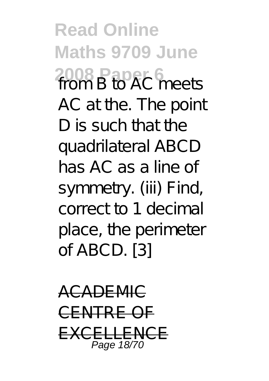**Read Online Maths 9709 June 2008 Paper 6** from B to AC meets AC at the. The point D is such that the quadrilateral ABCD has AC as a line of symmetry. (iii) Find, correct to 1 decimal place, the perimeter of ABCD. [3]

ACADEMIC CENTRE O EXCELLENCE Page 18/70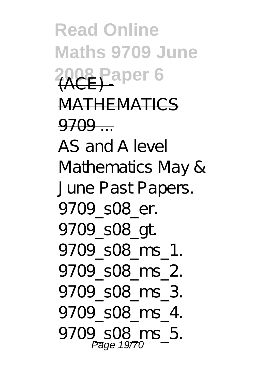**Read Online Maths 9709 June 2008 Paper 6** MATHEMATICS  $9709...$ AS and A level Mathematics May & June Past Papers. 9709\_s08\_er. 9709\_s08\_gt. 9709\_s08\_ms\_1. 9709\_s08\_ms\_2. 9709\_s08\_ms\_3. 9709\_s08\_ms\_4. 9709\_s08\_ms\_5.  $P\overline{a}$ ge 1977 $\overline{a}$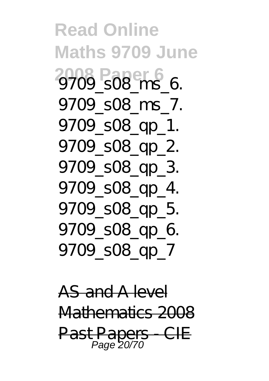**Read Online Maths 9709 June 2008 Paper 6** 9709\_s08\_ms\_6. 9709\_s08\_ms\_7. 9709\_s08\_qp\_1. 9709\_s08\_qp\_2. 9709\_s08\_qp\_3. 9709\_s08\_qp\_4. 9709\_s08\_ap\_5. 9709 s08\_qp\_6. 9709\_s08\_qp\_7

AS and A level Mathematics 2008 Past Papers - CIE Page 20/70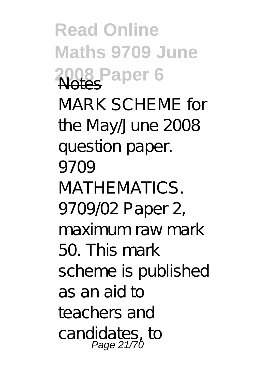**Read Online Maths 9709 June** 2008 Paper 6 MARK SCHEME for the May/June 2008 question paper. 9709 MATHEMATICS. 9709/02 Paper 2, maximum raw mark 50. This mark scheme is published as an aid to teachers and candidates, to Page 21/70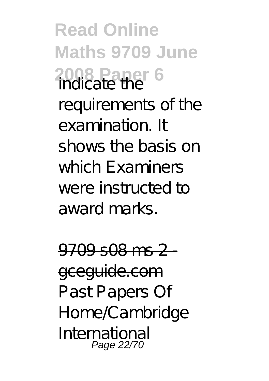**Read Online Maths 9709 June 2008 Paper 6** indicate the requirements of the examination. It shows the basis on which Examiners were instructed to award marks.

9709 s08 ms 2 gceguide.com Past Papers Of Home/Cambridge International Page 22/70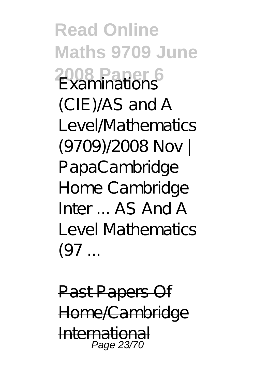**Read Online Maths 9709 June 2008 Paper 6** Examinations (CIE)/AS and A Level/Mathematics (9709)/2008 Nov | PapaCambridge Home Cambridge  $Intr A S And A$ Level Mathematics  $(97...$ 

Past Papers Of Home/Cambridge International Page 23/70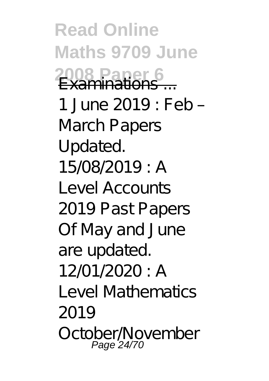**Read Online Maths 9709 June 2008 Paper 6** Examinations ... 1 June 2019 : Feb – March Papers Updated. 15/08/2019 : A Level Accounts 2019 Past Papers Of May and June are updated.  $12/01/2020 \cdot A$ Level Mathematics 2019 October November Page 24/70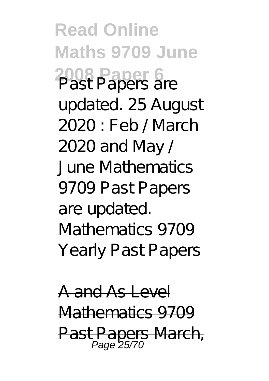**Read Online Maths 9709 June 2008 Paper 6** Past Papers are updated. 25 August 2020 : Feb / March 2020 and May / June Mathematics 9709 Past Papers are updated. Mathematics 9709 Yearly Past Papers

A and As Level Mathematics 9709 Past Papers March,  $P$ age 25/70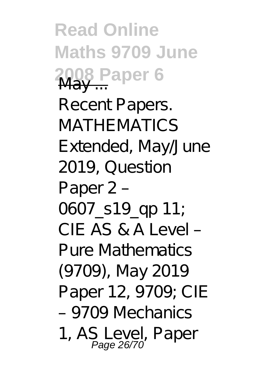**Read Online Maths 9709 June 2008 Paper 6** May ... Recent Papers. MATHE MATICS Extended, May/June 2019, Question Paper 2 – 0607\_s19\_ap 11; CIE AS & A Level – Pure Mathematics (9709), May 2019 Paper 12, 9709; CIE – 9709 Mechanics 1, AS Level, Paper Page 26/70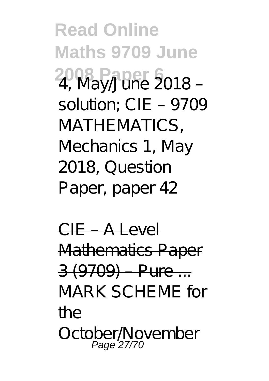**Read Online Maths 9709 June 2008 Paper 6** 4, May/June 2018 – solution; CIE – 9709 MATHEMATICS. Mechanics 1, May 2018, Question Paper, paper 42

CIE – A Level Mathematics Paper 3 (9709) – Pure ... MARK SCHEME for the October November Page 27/70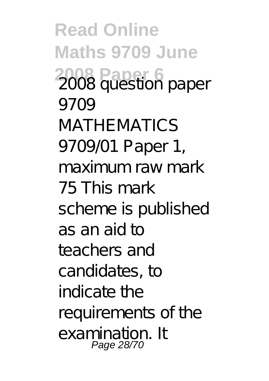**Read Online Maths 9709 June 2008 Paper 6** 2008 question paper 9709 MATHE MATICS 9709/01 Paper 1, maximum raw mark 75 This mark scheme is published as an aid to teachers and candidates, to indicate the requirements of the examination. It Page 28/70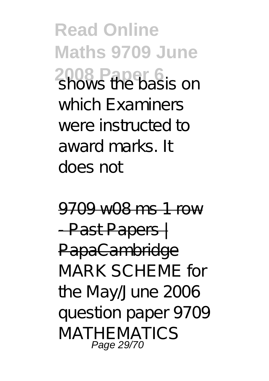**Read Online Maths 9709 June 2008 Paper 6**<br>Shows the basis on which Examiners were instructed to award marks. It does not

9709 w08 ms 1 row - Past Papers | PapaCambridge MARK SCHEME for the May/June 2006 question paper 9709 MATHEMATICS Page 29/70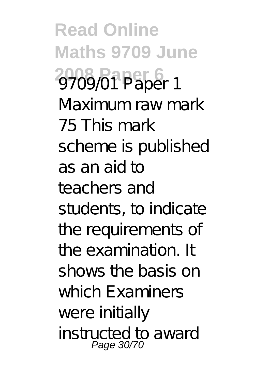**Read Online Maths 9709 June 2008 Paper 6** 9709/01 Paper 1 Maximum raw mark 75 This mark scheme is published as an aid to teachers and students, to indicate the requirements of the examination. It shows the basis on which Examiners were initially instructed to award Page 30/70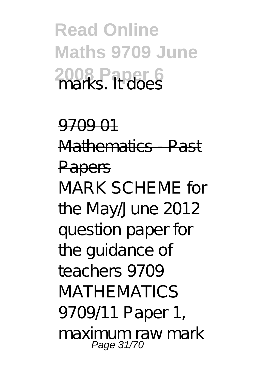**Read Online Maths 9709 June 2008 Paper 6** marks. It does

9709 01 Mathematics - Past Papers MARK SCHEME for the May/June 2012 question paper for the guidance of teachers 9709 MATHEMATICS 9709/11 Paper 1, maximum raw mark Page 31/70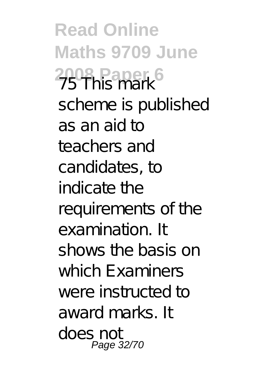**Read Online Maths 9709 June 2008 Paper 6** 75 This mark scheme is published as an aid to teachers and candidates, to indicate the requirements of the examination. It shows the basis on which Examiners were instructed to award marks. It does not Page 32/70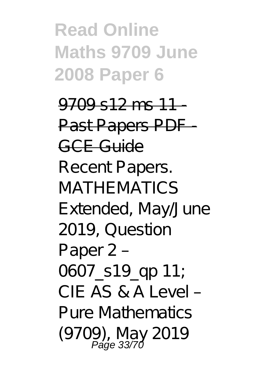**Read Online Maths 9709 June 2008 Paper 6**

 $9709$  s12 ms 11 -Past Papers PDF GCE Guide Recent Papers. MATHE MATICS Extended, May/June 2019, Question Paper 2 – 0607 s19 qp 11; CIE AS & A Level – Pure Mathematics (9709), May 2019 Page 33/70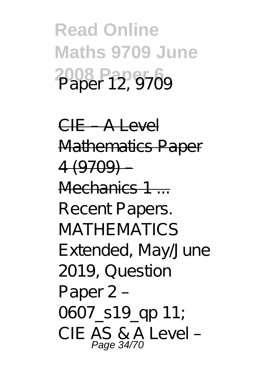## **Read Online Maths 9709 June 2008 Paper 6** Paper 12, 9709

CIE – A Level Mathematics Paper 4 (9709) – Mechanics 1 Recent Papers. **MATHEMATICS** Extended, May/June 2019, Question Paper 2 – 0607\_s19\_qp 11; CIE AS & A Level – Page 34/70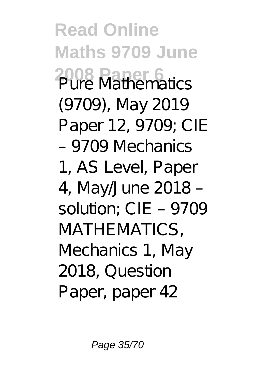**Read Online Maths 9709 June 2008 Paper 6** Pure Mathematics (9709), May 2019 Paper 12, 9709; CIE – 9709 Mechanics 1, AS Level, Paper 4, May/June 2018 – solution; CIE – 9709 MATHEMATICS, Mechanics 1, May 2018, Question Paper, paper 42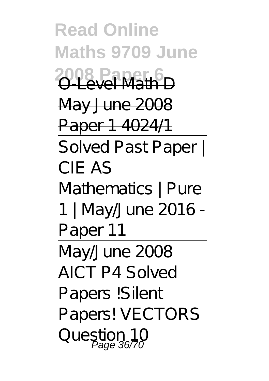**Read Online Maths 9709 June** 2008 Paper 6 May June 2008 Paper 1 4024/1 Solved Past Paper | CIE AS Mathematics | Pure 1 | May/June 2016 - Paper 11 May/June 2008 AICT P4 Solved Papers !Silent Papers! VECTORS Question 10 Page 36/70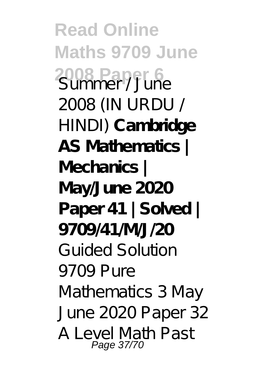**Read Online Maths 9709 June 2008 Paper 6** 2008 (IN URDU / HINDI) **Cambridge AS Mathematics | Mechanics | May/June 2020 Paper 41 | Solved | 9709/41/M/J/20** Guided Solution 9709 Pure Mathematics 3 May June 2020 Paper 32 A Level Math Past Page 37/70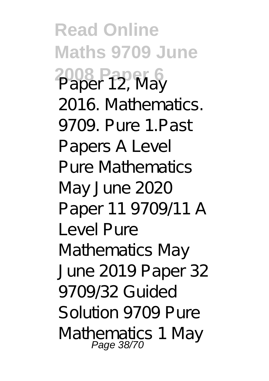**Read Online Maths 9709 June 2008 Paper 6** Paper 12, May 2016. Mathematics. 9709. Pure 1.Past Papers A Level Pure Mathematics May June 2020 Paper 11 9709/11 *A Level Pure Mathematics May June 2019 Paper 32 9709/32* Guided Solution 9709 Pure Mathematics 1 May<br>Page 38/70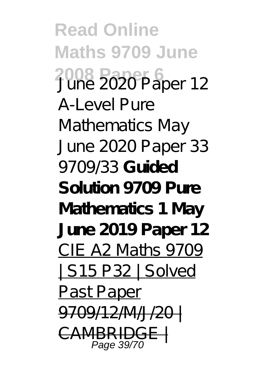**Read Online Maths 9709 June 2008 Paper 6** June 2020 Paper 12 A-Level Pure Mathematics May June 2020 Paper 33 9709/33 **Guided Solution 9709 Pure Mathematics 1 May June 2019 Paper 12** CIE A2 Maths 9709 | S15 P32 | Solved Past Paper <del>9709/12/M/J/2</del> CAMBRIDGE | Page 39/70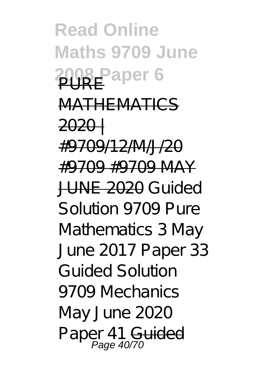**Read Online Maths 9709 June 2008 Paper 6** MATHEMATICS 2020 | #9709/12/M/J/20 #9709 #9709 MAY JUNE 2020 Guided Solution 9709 Pure Mathematics 3 May June 2017 Paper 33 *Guided Solution 9709 Mechanics May June 2020 Paper 41* Guided Page 40/70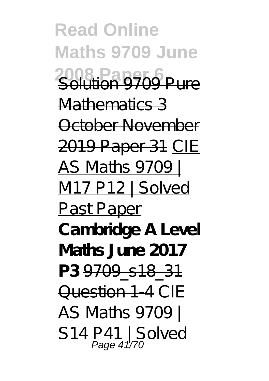**Read Online Maths 9709 June 2008 Paper 6** Solution 9709 Pure Mathematics 3 October November 2019 Paper 31 CIE AS Maths 9709 | M17 P12 | Solved PastPaper **Cambridge A Level Maths June 2017 P3** 9709\_s18\_31 Question 1-4 CIE AS Maths 9709 | S14 P41 | Solved<br>Page 41/70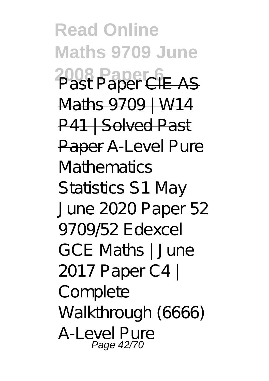**Read Online Maths 9709 June 2008 Paper 6** Past Paper CIE AS Maths 9709 | W14 P41 | Solved Past Paper *A-Level Pure Mathematics Statistics S1 May June 2020 Paper 52 9709/52 Edexcel GCE Maths | June 2017 Paper C4 | Complete Walkthrough (6666)* A-Level Pure Page 42/70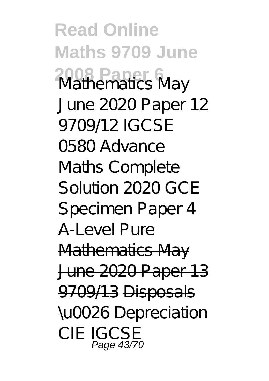**Read Online Maths 9709 June 2008 Paper 6** Mathematics May June 2020 Paper 12 9709/12 *IGCSE 0580 Advance Maths Complete Solution 2020 GCE Specimen Paper 4* A-Level Pure Mathematics May June 2020 Paper 13 9709/13 Disposals \u0026 Depreciation  $CIF$  IGC Page 43/70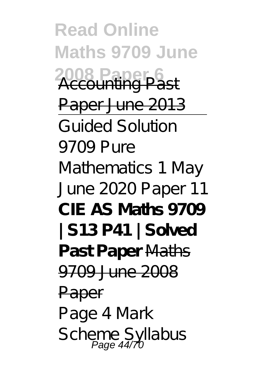**Read Online Maths 9709 June** 2008 Paper Paper June 2013 Guided Solution 9709 Pure Mathematics 1 May June 2020 Paper 11 **CIE AS Maths 9709 | S13 P41 | Solved Past Paper** Maths 9709 June 2008 Paper Page 4 Mark Scheme Syllabus<br>Page 44/70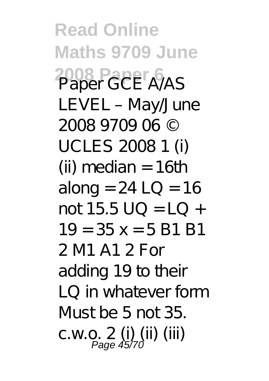**Read Online Maths 9709 June 2008 Paper 6** Paper GCE A/AS LEVEL – May/June 2008 9709 06 © UCLES 2008 1 (i) (ii) median  $= 16$ th along =  $24$  LQ = 16  $not 15.5 \cup 0 = 10 +$  $19 = 35x = 5 R1 R1$ 2 M1 A1 2 For adding 19 to their LQ in whatever form Must be 5 not 35. c.w.o. 2 (i) (ii) (iii) Page 45/70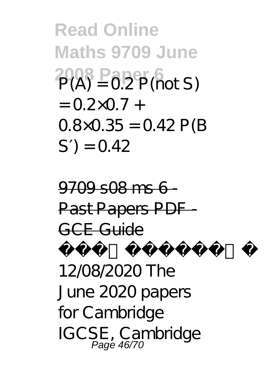**Read Online Maths 9709 June 2008 Paper 6** P(A) = 0.2 P(not S)  $= (1.2 \times 0.7 +$  $0.8 \times 0.35 = 0.42$  P(B)  $S) = 0.42$ 

 $9709$  s08 ms 6 -Past Papers PDF GCE Guide Update: 12/08/2020 The June 2020 papers for Cambridge IGCSE, Cambridge Page 46/70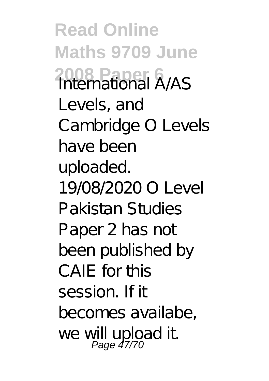**Read Online Maths 9709 June 2008 Paper 6** International A/AS Levels, and Cambridge O Levels have been uploaded. 19/08/2020 O Level Pakistan Studies Paper 2 has not been published by CAIF for this session. If it becomes availabe, we will upload it.<br>Page 47/70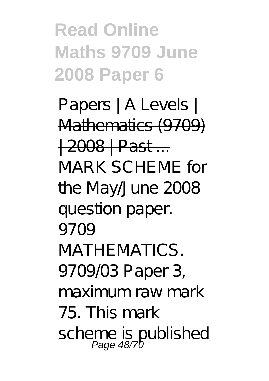## **Read Online Maths 9709 June 2008 Paper 6**

Papers | A Levels | Mathematics (9709) | 2008 | Past ... MARK SCHEME for the May/June 2008 question paper. 9709 MATHE MATICS. 9709/03 Paper 3, maximum raw mark 75. This mark scheme is published<br>Page 48/70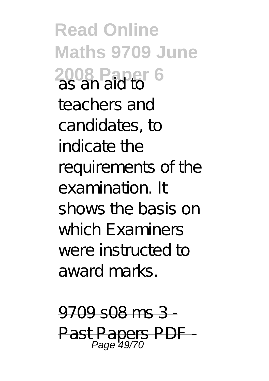**Read Online Maths 9709 June 2008 Paper 6** as an aid to teachers and candidates, to indicate the requirements of the examination. It shows the basis on which Examiners were instructed to award marks.

 $9709$  s08 ms 3 Past Papers PDF Page 49/70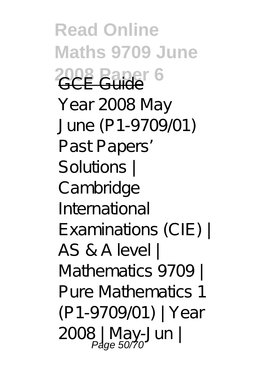**Read Online Maths 9709 June 2008 Paper 6** Year 2008 May June (P1-9709/01) Past Papers' Solutions | Cambridge International Examinations (CIE) | AS & A level | Mathematics 9709 | Pure Mathematics 1 (P1-9709/01) | Year 2008 | May-Jun | Page 50/70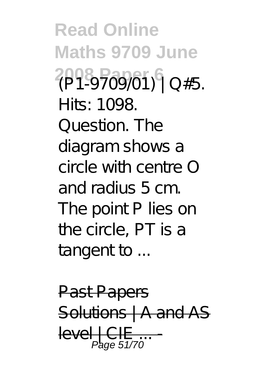**Read Online Maths 9709 June 2008 Paper 6** (P1-9709/01) | Q#5. Hits: 1098. Question. The diagram shows a circle with centre O and radius 5 cm. The point P lies on the circle, PT is a tangent to ...

**Past Papers** Solutions | A and AS  $level 1$  CIE Page 51/70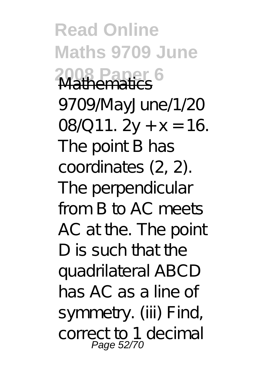**Read Online Maths 9709 June 2008 Paper 6** Mathematics 9709/MayJune/1/20 08/Q11.  $2y + x = 16$ . The point B has coordinates (2, 2). The perpendicular from B to AC meets AC at the. The point D is such that the quadrilateral ABCD has AC as a line of symmetry. (iii) Find, correct to 1 decimal Page 52/70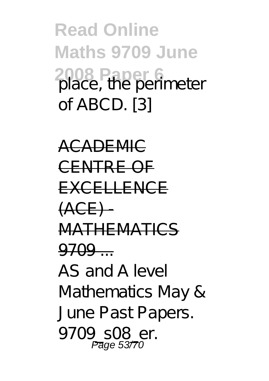**Read Online Maths 9709 June 2008 Paper 6** place, the perimeter of ABCD. [3]

ACADEMIC CENTRE OF EXCELLENCE  $(ACF)$ MATHEMATICS  $9709 -$ AS and A level Mathematics May & June Past Papers. 9709\_s08\_er. Page 5377 $\alpha$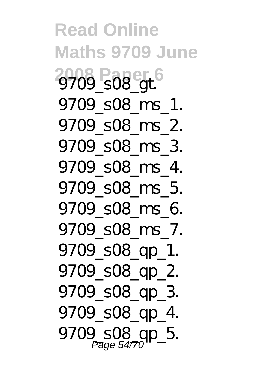**Read Online Maths 9709 June** 2009\_s08\_at 9709\_s08\_ms\_1. 9709\_s08\_ms\_2. 9709\_s08\_ms\_3. 9709\_s08\_ms\_4. 9709\_s08\_ms\_5. 9709\_s08\_ms\_6. 9709\_s08\_ms\_7. 9709\_s08\_qp\_1. 9709\_s08\_qp\_2. 9709\_s08\_qp\_3. 9709\_s08\_qp\_4. 9709\_s08\_gp\_5.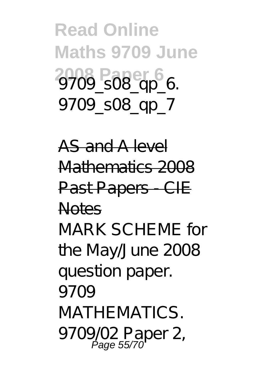**Read Online Maths 9709 June** 2009\_s08\_qp<sup>6</sup>6. 9709\_s08\_qp\_7

AS and A level Mathematics 2008 Past Papers - CIE Notes

MARK SCHEME for the May/June 2008 question paper. 9709 MATHEMATICS. 9709/02 Paper 2,<br>Page 55/70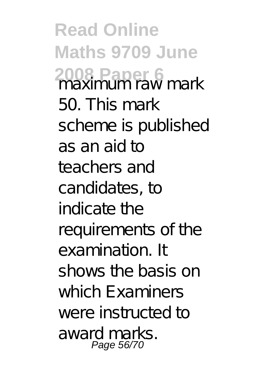**Read Online Maths 9709 June 2008 Paper 6** maximum raw mark 50. This mark scheme is published as an aid to teachers and candidates, to indicate the requirements of the examination. It shows the basis on which Examiners were instructed to award marks. Page 56/70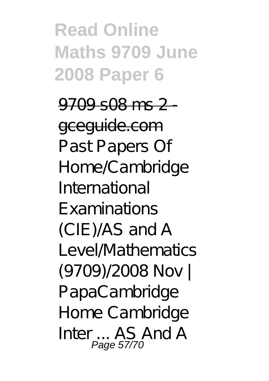**Read Online Maths 9709 June 2008 Paper 6**

9709 s08 ms 2 -

gceguide.com Past Papers Of Home/Cambridge International Examinations (CIE)/AS and A Level/Mathematics (9709)/2008 Nov | PapaCambridge Home Cambridge Inter ... AS And A Page 57/70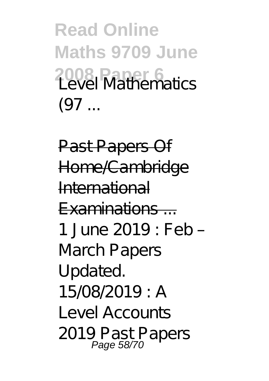**Read Online Maths 9709 June** 2008 Paper 6<br>Tayal Mathematics  $(97...$ 

Past Papers Of Home/Cambridge International  $Examina$  tions  $-$ 1 June 2019 : Feb – March Papers Updated. 15/08/2019 : A Level Accounts 2019 Past Papers Page 58/70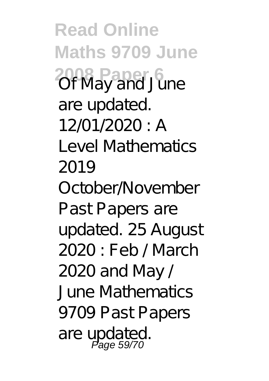**Read Online Maths 9709 June 2008 Paper 6** Of May and June are updated. 12/01/2020 : A Level Mathematics 2019 October/November Past Papers are updated. 25 August 2020 : Feb / March 2020 and May / June Mathematics 9709 Past Papers are updated. Page 59/70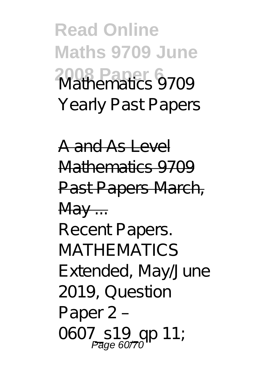**Read Online Maths 9709 June 2008 Paper 6** Mathematics 9709 Yearly Past Papers

A and As Level Mathematics 9709 Past Papers March,  $\mathsf{M}$ a $\mathsf{v}$  ... Recent Papers. **MATHEMATICS** Extended, May/June 2019, Question Paper 2 – 0607\_s19\_qp 11;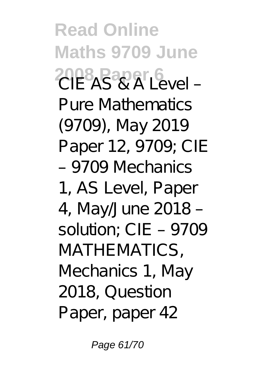**Read Online Maths 9709 June 2008 Paper 6** VAL Pure Mathematics (9709), May 2019 Paper 12, 9709; CIE – 9709 Mechanics 1, AS Level, Paper 4, May/June 2018 – solution; CIE – 9709 MATHEMATICS. Mechanics 1, May 2018, Question Paper, paper 42

Page 61/70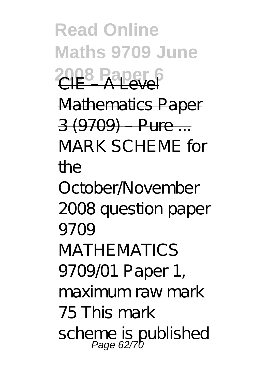**Read Online Maths 9709 June 2008 Raper 6** Mathematics Paper 3 (9709) – Pure ... MARK SCHEME for the October/November 2008 question paper 9709 MATHE MATICS 9709/01 Paper 1, maximum raw mark 75 This mark scheme is published<br>Page 62/70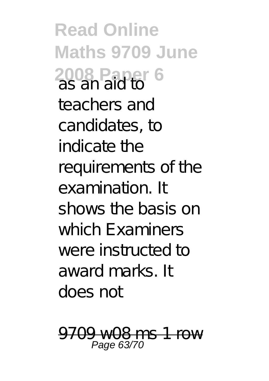**Read Online Maths 9709 June 2008 Paper 6** as an aid to teachers and candidates, to indicate the requirements of the examination. It shows the basis on which Examiners were instructed to award marks. It does not

n c 1 row Page 63/70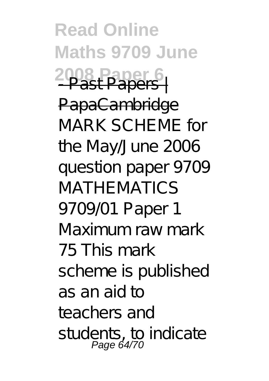**Read Online Maths 9709 June 2008 Paper 6** - Past Papers | PapaCambridge MARK SCHEME for the May/June 2006 question paper 9709 MATHE MATICS 9709/01 Paper 1 Maximum raw mark 75 This mark scheme is published as an aid to teachers and students, to indicate Page  $64/70$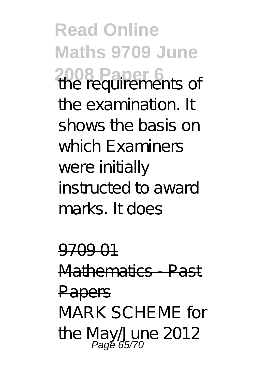**Read Online Maths 9709 June 2008 Paper 6** the requirements of the examination. It shows the basis on which Examiners were initially instructed to award marks. It does

9709 01 Mathematics - Past Papers MARK SCHEME for the May/June 2012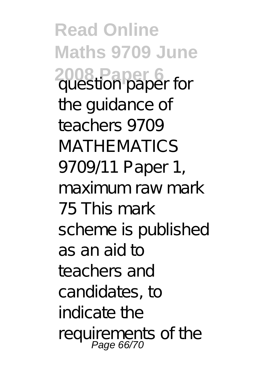**Read Online Maths 9709 June 2008 Paper 6** question paper for the guidance of teachers 9709 **MATHEMATICS** 9709/11 Paper 1, maximum raw mark 75 This mark scheme is published as an aid to teachers and candidates, to indicate the requirements of the Page 66/70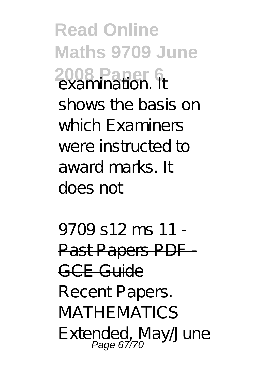**Read Online Maths 9709 June 2008 Paper 6** shows the basis on which Examiners were instructed to award marks. It does not

 $9709$  s12 ms 11 Past Papers PDF GCE Guide Recent Papers. **MATHEMATICS** Extended, May/June Page 67/70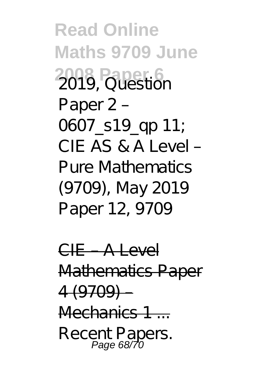**Read Online Maths 9709 June 2008 Paper 6** Paper 2 – 0607\_s19\_qp 11;  $CIF AS R A I A V$ Pure Mathematics (9709), May 2019 Paper 12, 9709

CIE – A Level Mathematics Paper  $4(9709)$ Mechanics 1 Recent Papers. Page 68/70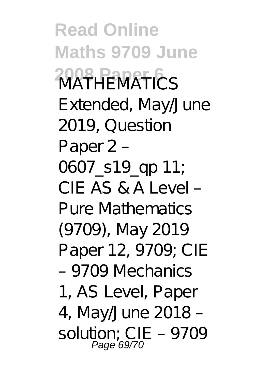**Read Online Maths 9709 June 2008 Paper 6** MATHEMATICS Extended, May/June 2019, Question Paper 2 – 0607 s19 qp 11; CIE AS & A Level – Pure Mathematics (9709), May 2019 Paper 12, 9709; CIE – 9709 Mechanics 1, AS Level, Paper 4, May/June 2018 – solution; CIE – 9709 Page 69/70